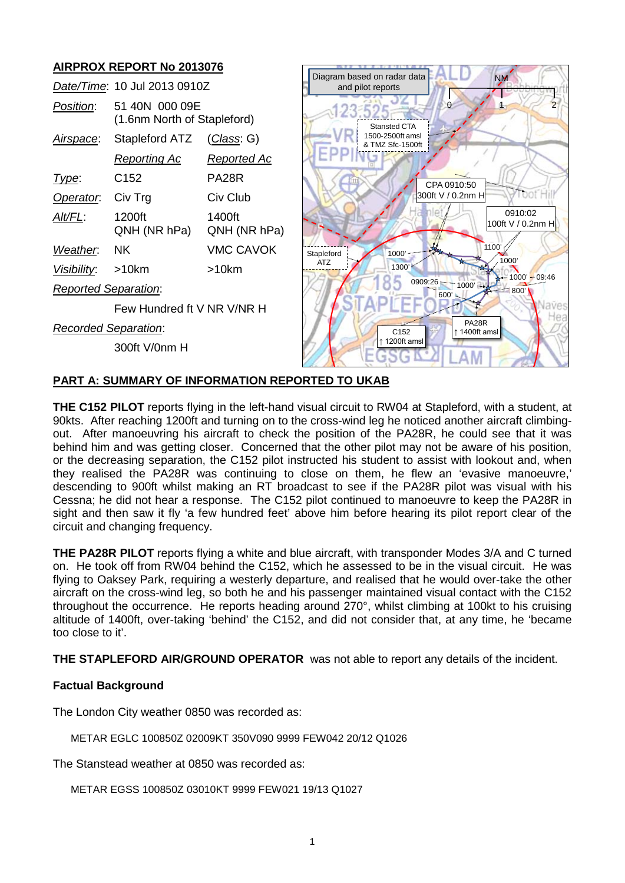# **AIRPROX REPORT No 2013076**

|                             |                                               |                        | Diagram based on radar data<br><b>NM</b>            |
|-----------------------------|-----------------------------------------------|------------------------|-----------------------------------------------------|
|                             | Date/Time: 10 Jul 2013 0910Z                  |                        | and pilot reports                                   |
| Position:                   | 51 40N 000 09E<br>(1.6nm North of Stapleford) |                        | $\overline{2}$<br>$^{\circ}$<br><b>Stansted CTA</b> |
| Airspace:                   | Stapleford ATZ                                | (Class: G)             | 1500-2500ft amsl<br>& TMZ Sfc-1500ft                |
|                             | <u>Reporting Ac</u>                           | <u>Reported Ac</u>     |                                                     |
| Type:                       | C <sub>152</sub>                              | PA <sub>28</sub> R     | CPA 0910:50                                         |
| Operator.                   | Civ Trg                                       | Civ Club               | 300ft V / 0.2nm H                                   |
| Alt/FL:                     | 1200ft<br>QNH (NR hPa)                        | 1400ft<br>QNH (NR hPa) | 0910:02<br>100ft V / 0.2nm H                        |
| Weather.                    | <b>NK</b>                                     | <b>VMC CAVOK</b>       | 1100'<br>1000'<br>Stapleford                        |
| Visibility:                 | $>10$ km                                      | $>10$ km               | 1000<br><b>ATZ</b><br>1300'<br>$1000' - 09:46$      |
| <b>Reported Separation:</b> |                                               |                        | 0909:26<br>$1000'$ $-$<br>"800'<br>600'             |
|                             | Few Hundred ft V NR V/NR H                    |                        | aves                                                |
| <b>Recorded Separation:</b> |                                               |                        | <b>PA28R</b><br>1400ft amsl<br>C <sub>152</sub>     |
|                             | 300ft V/0nm H                                 |                        | ↑ 1200ft amsl                                       |

# **PART A: SUMMARY OF INFORMATION REPORTED TO UKAB**

**THE C152 PILOT** reports flying in the left-hand visual circuit to RW04 at Stapleford, with a student, at 90kts. After reaching 1200ft and turning on to the cross-wind leg he noticed another aircraft climbingout. After manoeuvring his aircraft to check the position of the PA28R, he could see that it was behind him and was getting closer. Concerned that the other pilot may not be aware of his position, or the decreasing separation, the C152 pilot instructed his student to assist with lookout and, when they realised the PA28R was continuing to close on them, he flew an 'evasive manoeuvre,' descending to 900ft whilst making an RT broadcast to see if the PA28R pilot was visual with his Cessna; he did not hear a response. The C152 pilot continued to manoeuvre to keep the PA28R in sight and then saw it fly 'a few hundred feet' above him before hearing its pilot report clear of the circuit and changing frequency.

**THE PA28R PILOT** reports flying a white and blue aircraft, with transponder Modes 3/A and C turned on. He took off from RW04 behind the C152, which he assessed to be in the visual circuit. He was flying to Oaksey Park, requiring a westerly departure, and realised that he would over-take the other aircraft on the cross-wind leg, so both he and his passenger maintained visual contact with the C152 throughout the occurrence. He reports heading around 270°, whilst climbing at 100kt to his cruising altitude of 1400ft, over-taking 'behind' the C152, and did not consider that, at any time, he 'became too close to it'.

**THE STAPLEFORD AIR/GROUND OPERATOR** was not able to report any details of the incident.

## **Factual Background**

The London City weather 0850 was recorded as:

METAR EGLC 100850Z 02009KT 350V090 9999 FEW042 20/12 Q1026

The Stanstead weather at 0850 was recorded as:

METAR EGSS 100850Z 03010KT 9999 FEW021 19/13 Q1027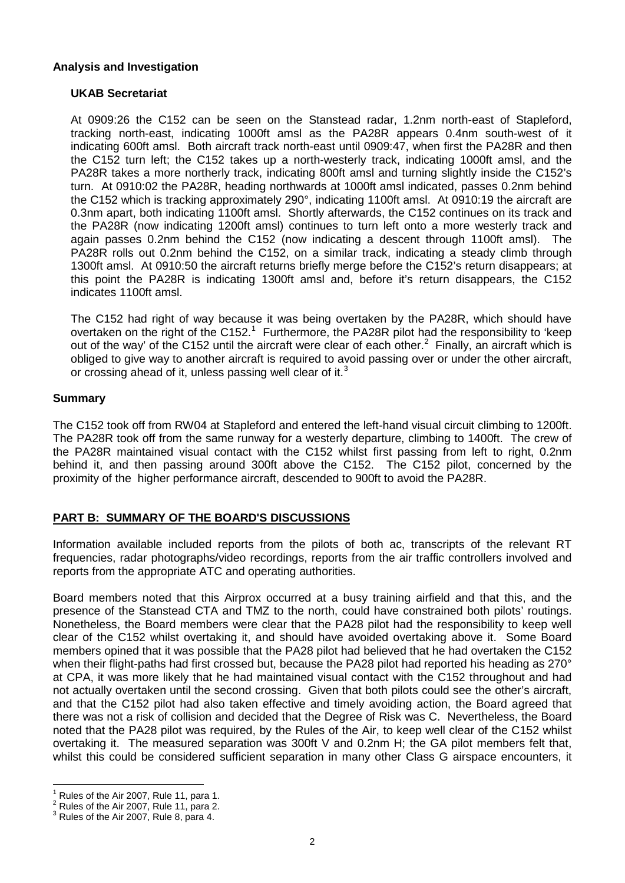#### **Analysis and Investigation**

#### **UKAB Secretariat**

At 0909:26 the C152 can be seen on the Stanstead radar, 1.2nm north-east of Stapleford, tracking north-east, indicating 1000ft amsl as the PA28R appears 0.4nm south-west of it indicating 600ft amsl. Both aircraft track north-east until 0909:47, when first the PA28R and then the C152 turn left; the C152 takes up a north-westerly track, indicating 1000ft amsl, and the PA28R takes a more northerly track, indicating 800ft amsl and turning slightly inside the C152's turn. At 0910:02 the PA28R, heading northwards at 1000ft amsl indicated, passes 0.2nm behind the C152 which is tracking approximately 290°, indicating 1100ft amsl. At 0910:19 the aircraft are 0.3nm apart, both indicating 1100ft amsl. Shortly afterwards, the C152 continues on its track and the PA28R (now indicating 1200ft amsl) continues to turn left onto a more westerly track and again passes 0.2nm behind the C152 (now indicating a descent through 1100ft amsl). The PA28R rolls out 0.2nm behind the C152, on a similar track, indicating a steady climb through 1300ft amsl. At 0910:50 the aircraft returns briefly merge before the C152's return disappears; at this point the PA28R is indicating 1300ft amsl and, before it's return disappears, the C152 indicates 1100ft amsl.

The C152 had right of way because it was being overtaken by the PA28R, which should have overtaken on the right of the C[1](#page-1-0)52.<sup>1</sup> Furthermore, the PA28R pilot had the responsibility to 'keep out of the way' of the C15[2](#page-1-1) until the aircraft were clear of each other.<sup>2</sup> Finally, an aircraft which is obliged to give way to another aircraft is required to avoid passing over or under the other aircraft, or crossing ahead of it, unless passing well clear of it. $3$ 

#### **Summary**

The C152 took off from RW04 at Stapleford and entered the left-hand visual circuit climbing to 1200ft. The PA28R took off from the same runway for a westerly departure, climbing to 1400ft. The crew of the PA28R maintained visual contact with the C152 whilst first passing from left to right, 0.2nm behind it, and then passing around 300ft above the C152. The C152 pilot, concerned by the proximity of the higher performance aircraft, descended to 900ft to avoid the PA28R.

## **PART B: SUMMARY OF THE BOARD'S DISCUSSIONS**

Information available included reports from the pilots of both ac, transcripts of the relevant RT frequencies, radar photographs/video recordings, reports from the air traffic controllers involved and reports from the appropriate ATC and operating authorities.

Board members noted that this Airprox occurred at a busy training airfield and that this, and the presence of the Stanstead CTA and TMZ to the north, could have constrained both pilots' routings. Nonetheless, the Board members were clear that the PA28 pilot had the responsibility to keep well clear of the C152 whilst overtaking it, and should have avoided overtaking above it. Some Board members opined that it was possible that the PA28 pilot had believed that he had overtaken the C152 when their flight-paths had first crossed but, because the PA28 pilot had reported his heading as 270° at CPA, it was more likely that he had maintained visual contact with the C152 throughout and had not actually overtaken until the second crossing. Given that both pilots could see the other's aircraft, and that the C152 pilot had also taken effective and timely avoiding action, the Board agreed that there was not a risk of collision and decided that the Degree of Risk was C. Nevertheless, the Board noted that the PA28 pilot was required, by the Rules of the Air, to keep well clear of the C152 whilst overtaking it. The measured separation was 300ft V and 0.2nm H; the GA pilot members felt that, whilst this could be considered sufficient separation in many other Class G airspace encounters, it

<span id="page-1-0"></span><sup>&</sup>lt;sup>1</sup> Rules of the Air 2007, Rule 11, para 1.<br><sup>2</sup> Rules of the Air 2007, Rule 11, para 2.<br><sup>3</sup> Rules of the Air 2007, Rule 8, para 4.

<span id="page-1-2"></span><span id="page-1-1"></span>